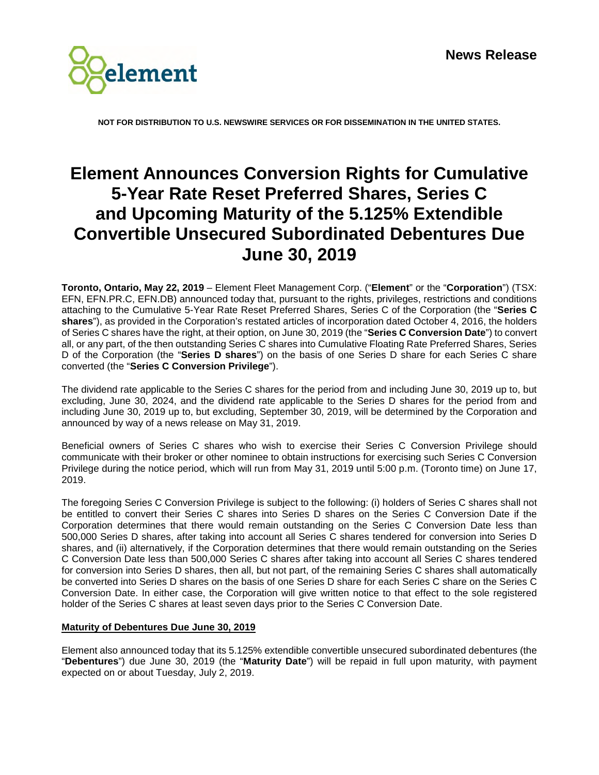

**NOT FOR DISTRIBUTION TO U.S. NEWSWIRE SERVICES OR FOR DISSEMINATION IN THE UNITED STATES.** 

# **Element Announces Conversion Rights for Cumulative 5-Year Rate Reset Preferred Shares, Series C and Upcoming Maturity of the 5.125% Extendible Convertible Unsecured Subordinated Debentures Due June 30, 2019**

**Toronto, Ontario, May 22, 2019** – Element Fleet Management Corp. ("**Element**" or the "**Corporation**") (TSX: EFN, EFN.PR.C, EFN.DB) announced today that, pursuant to the rights, privileges, restrictions and conditions attaching to the Cumulative 5-Year Rate Reset Preferred Shares, Series C of the Corporation (the "**Series C shares**"), as provided in the Corporation's restated articles of incorporation dated October 4, 2016, the holders of Series C shares have the right, at their option, on June 30, 2019 (the "**Series C Conversion Date**") to convert all, or any part, of the then outstanding Series C shares into Cumulative Floating Rate Preferred Shares, Series D of the Corporation (the "**Series D shares**") on the basis of one Series D share for each Series C share converted (the "**Series C Conversion Privilege**").

The dividend rate applicable to the Series C shares for the period from and including June 30, 2019 up to, but excluding, June 30, 2024, and the dividend rate applicable to the Series D shares for the period from and including June 30, 2019 up to, but excluding, September 30, 2019, will be determined by the Corporation and announced by way of a news release on May 31, 2019.

Beneficial owners of Series C shares who wish to exercise their Series C Conversion Privilege should communicate with their broker or other nominee to obtain instructions for exercising such Series C Conversion Privilege during the notice period, which will run from May 31, 2019 until 5:00 p.m. (Toronto time) on June 17, 2019.

The foregoing Series C Conversion Privilege is subject to the following: (i) holders of Series C shares shall not be entitled to convert their Series C shares into Series D shares on the Series C Conversion Date if the Corporation determines that there would remain outstanding on the Series C Conversion Date less than 500,000 Series D shares, after taking into account all Series C shares tendered for conversion into Series D shares, and (ii) alternatively, if the Corporation determines that there would remain outstanding on the Series C Conversion Date less than 500,000 Series C shares after taking into account all Series C shares tendered for conversion into Series D shares, then all, but not part, of the remaining Series C shares shall automatically be converted into Series D shares on the basis of one Series D share for each Series C share on the Series C Conversion Date. In either case, the Corporation will give written notice to that effect to the sole registered holder of the Series C shares at least seven days prior to the Series C Conversion Date.

## **Maturity of Debentures Due June 30, 2019**

Element also announced today that its 5.125% extendible convertible unsecured subordinated debentures (the "**Debentures**") due June 30, 2019 (the "**Maturity Date**") will be repaid in full upon maturity, with payment expected on or about Tuesday, July 2, 2019.